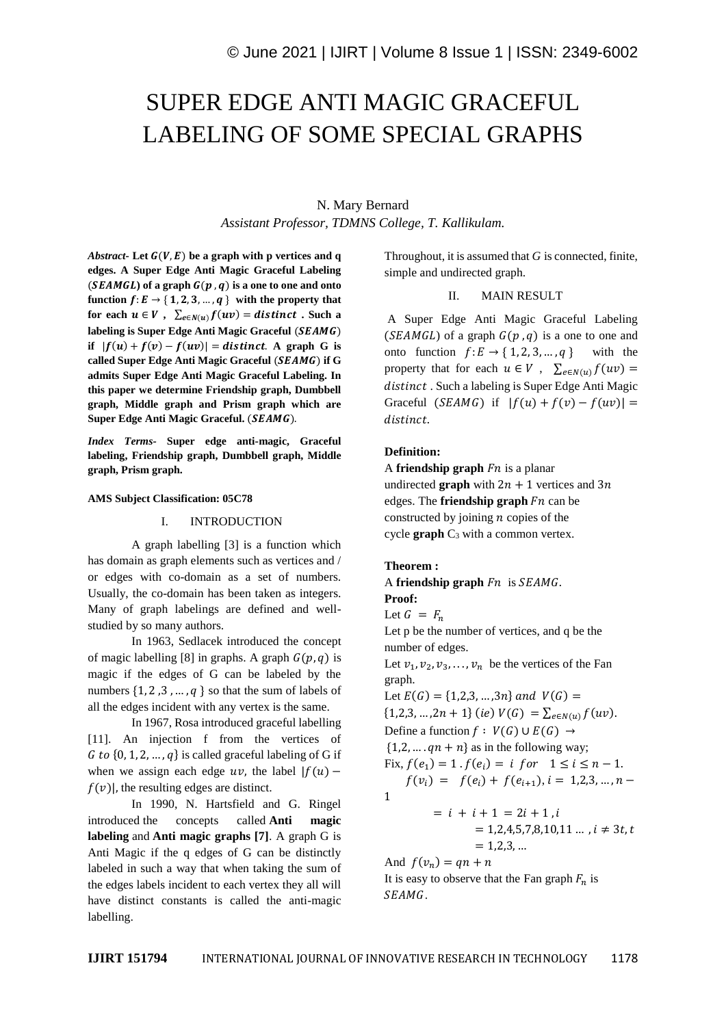# SUPER EDGE ANTI MAGIC GRACEFUL LABELING OF SOME SPECIAL GRAPHS

# N. Mary Bernard *Assistant Professor, TDMNS College, T. Kallikulam.*

*Abstract-* Let  $G(V, E)$  be a graph with p vertices and q **edges. A Super Edge Anti Magic Graceful Labeling**   $(SEAMGL)$  of a graph  $G(p, q)$  is a one to one and onto **function**  $f: E \rightarrow \{1, 2, 3, ..., q\}$  with the property that for each  $u \in V$ ,  $\sum_{e \in N(u)} f(uv) = distinct$ . Such a labeling is Super Edge Anti Magic Graceful (*SEAMG*) **if**  $|f(u) + f(v) - f(uv)| =$  distinct. A graph G is called Super Edge Anti Magic Graceful (SEAMG) if G **admits Super Edge Anti Magic Graceful Labeling. In this paper we determine Friendship graph, Dumbbell graph, Middle graph and Prism graph which are**  Super Edge Anti Magic Graceful. (SEAMG).

*Index Terms-* **Super edge anti-magic, Graceful labeling, Friendship graph, Dumbbell graph, Middle graph, Prism graph.**

#### **AMS Subject Classification: 05C78**

## I. INTRODUCTION

A graph labelling [3] is a function which has domain as graph elements such as vertices and / or edges with co-domain as a set of numbers. Usually, the co-domain has been taken as integers. Many of graph labelings are defined and wellstudied by so many authors.

In 1963, Sedlacek introduced the concept of magic labelling [8] in graphs. A graph  $G(p, q)$  is magic if the edges of G can be labeled by the numbers  $\{1, 2, 3, ..., q\}$  so that the sum of labels of all the edges incident with any vertex is the same.

In 1967, Rosa introduced graceful labelling [11]. An injection f from the vertices of  ${6}$  to  ${0, 1, 2, ..., q}$  is called graceful labeling of G if when we assign each edge  $uv$ , the label  $|f(u)$  $f(v)$ , the resulting edges are distinct.

In 1990, N. Hartsfield and G. Ringel introduced the concepts called **Anti magic labeling** and **Anti magic graphs [7]**. A graph G is Anti Magic if the q edges of G can be distinctly labeled in such a way that when taking the sum of the edges labels incident to each vertex they all will have distinct constants is called the anti-magic labelling.

Throughout, it is assumed that *G* is connected, finite, simple and undirected graph.

#### II. MAIN RESULT

A Super Edge Anti Magic Graceful Labeling ( $SEAMGL$ ) of a graph  $G(p, q)$  is a one to one and onto function  $f: E \to \{1, 2, 3, ..., q\}$  with the property that for each  $u \in V$ ,  $\sum_{e \in N(u)} f(uv) =$ distinct. Such a labeling is Super Edge Anti Magic Graceful ( $SEAMG$ ) if  $|f(u) + f(v) - f(uv)| =$ distinct.

#### **Definition:**

A **friendship graph**  $Fn$  is a planar undirected **graph** with  $2n + 1$  vertices and  $3n$ edges. The **friendship graph**  $Fn$  can be constructed by joining  $n$  copies of the cycle  $graph C_3$  with a common vertex.

#### **Theorem :**

# A **friendship graph**  $Fn$  is  $SEAMG$ . **Proof:**

Let  $G = F_n$ 

Let p be the number of vertices, and q be the number of edges.

Let  $v_1, v_2, v_3, \ldots, v_n$  be the vertices of the Fan graph.

Let  $E(G) = \{1,2,3,...,3n\}$  and  $V(G)$  =  $\{1,2,3,\ldots,2n+1\}$  (ie)  $V(G) = \sum_{e \in N(u)} f(uv)$ . Define a function  $f : V(G) \cup E(G) \rightarrow$  $\{1,2,\ldots, qn+n\}$  as in the following way; Fix,  $f(e_1) = 1$ .  $f(e_i) = i$  for  $1 \le i \le n - 1$ .  $f(v_i) = f(e_i) + f(e_{i+1}), i = 1,2,3,..., n -$ 1  $= i + i + 1 = 2i + 1$ 

$$
= 1,2,4,5,7,8,10,11 \dots, i \neq 3t, t
$$
  
= 1,2,3, ...

And  $f(v_n) = qn + n$ It is easy to observe that the Fan graph  $F_n$  is SEAMG.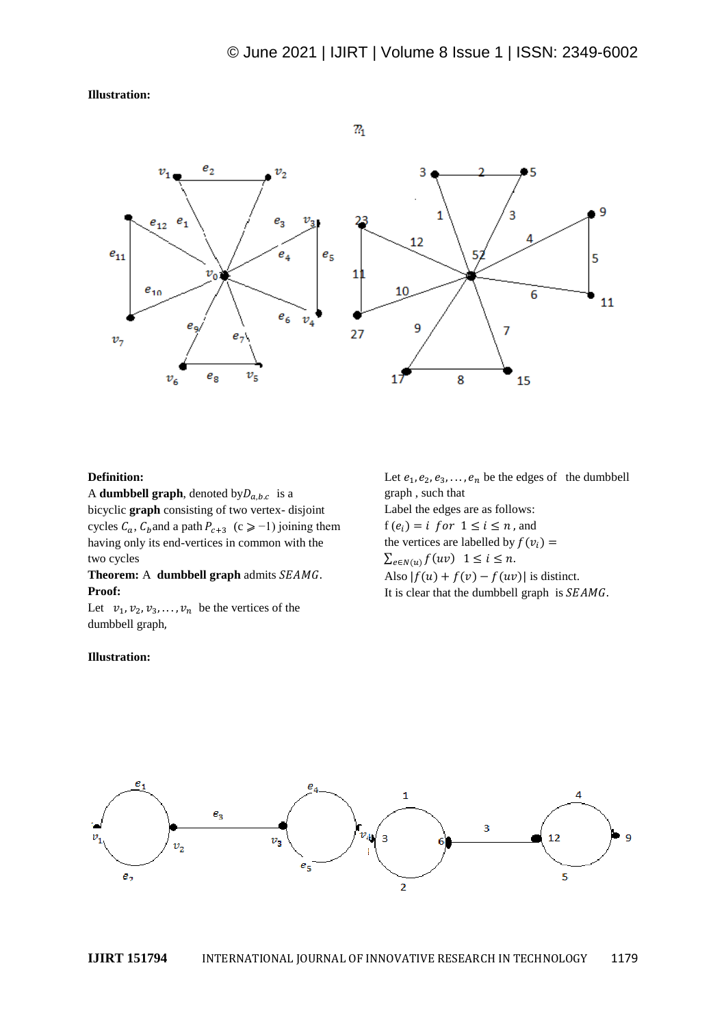**Illustration:**



# **Definition:**

A **dumbbell graph**, denoted by  $D_{a,b,c}$  is a bicyclic **graph** consisting of two vertex- disjoint cycles  $C_a$ ,  $C_b$  and a path  $P_{c+3}$  (c  $\geq -1$ ) joining them having only its end-vertices in common with the two cycles

# **Theorem:** A **dumbbell graph** admits *SEAMG*. **Proof:**

Let  $v_1, v_2, v_3, \ldots, v_n$  be the vertices of the dumbbell graph,

#### **Illustration:**

Let  $e_1, e_2, e_3, \ldots, e_n$  be the edges of the dumbbell graph , such that Label the edges are as follows:  $f(e_i) = i$  for  $1 \leq i \leq n$ , and the vertices are labelled by  $f(v_i)$  =  $\sum_{e \in N(u)} f(uv)$   $1 \leq i \leq n$ . Also  $|f(u) + f(v) - f(uv)|$  is distinct. It is clear that the dumbbell graph is  $SEAMG$ .

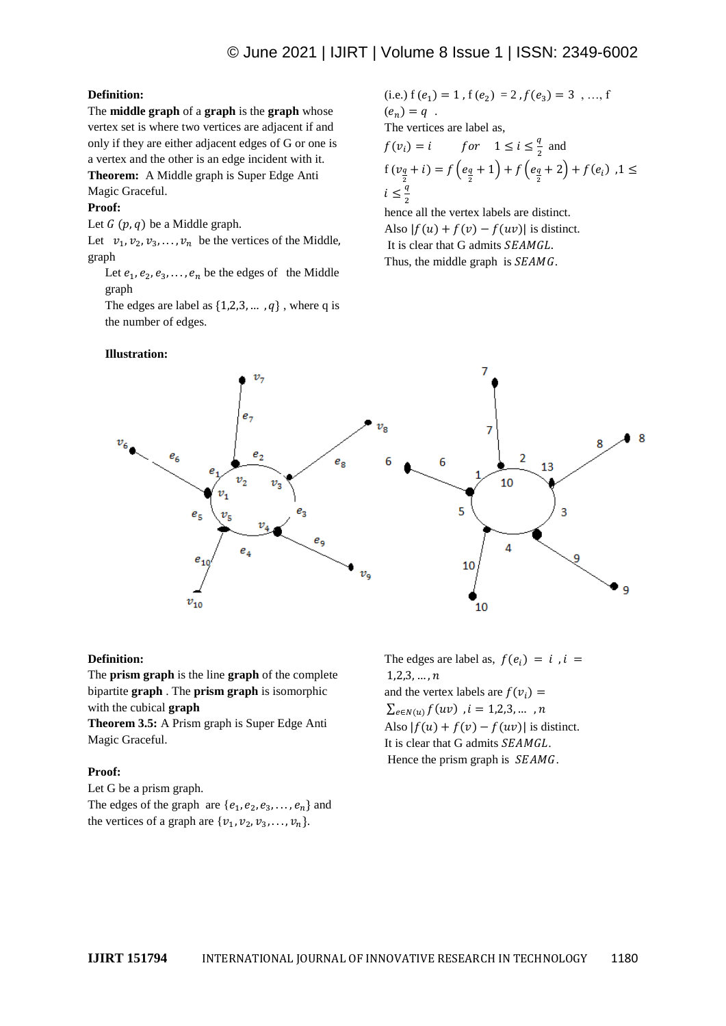# **Definition:**

The **middle graph** of a **graph** is the **graph** whose vertex set is where two vertices are adjacent if and only if they are either adjacent edges of G or one is a vertex and the other is an edge incident with it.

**Theorem:** A Middle graph is Super Edge Anti

# Magic Graceful.

# **Proof:**

Let  $G(p, q)$  be a Middle graph.

Let  $v_1, v_2, v_3, \ldots, v_n$  be the vertices of the Middle, graph

Let  $e_1, e_2, e_3, \ldots, e_n$  be the edges of the Middle graph

The edges are label as  $\{1,2,3,..., q\}$ , where q is the number of edges.

## **Illustration:**

(i.e.) 
$$
f(e_1) = 1
$$
,  $f(e_2) = 2$ ,  $f(e_3) = 3$ , ...,  $f(e_n) = q$ .  
\nThe vertices are label as,  
\n $f(v_i) = i$  for  $1 \le i \le \frac{q}{2}$  and  
\n $f(v_{\frac{q}{2}} + i) = f(e_{\frac{q}{2}} + 1) + f(e_{\frac{q}{2}} + 2) + f(e_i)$ ,  $1 \le i \le \frac{q}{2}$ 

hence all the vertex labels are distinct. Also  $|f(u) + f(v) - f(uv)|$  is distinct. It is clear that G admits SEAMGL. Thus, the middle graph is  $SEAMG$ .



#### **Definition:**

The **prism graph** is the line **graph** of the complete bipartite **graph** . The **prism graph** is isomorphic with the cubical **graph**

**Theorem 3.5:** A Prism graph is Super Edge Anti Magic Graceful.

# **Proof:**

Let G be a prism graph. The edges of the graph are  $\{e_1, e_2, e_3, \ldots, e_n\}$  and the vertices of a graph are  $\{v_1, v_2, v_3, \ldots, v_n\}.$ 

The edges are label as,  $f(e_i) = i$ ,  $i =$  $1, 2, 3, ..., n$ and the vertex labels are  $f(v_i) =$  $\sum_{e \in N(u)} f(uv)$  ,  $i = 1,2,3,...,n$ Also  $|f(u) + f(v) - f(uv)|$  is distinct. It is clear that G admits SEAMGL. Hence the prism graph is  $SEAMG$ .